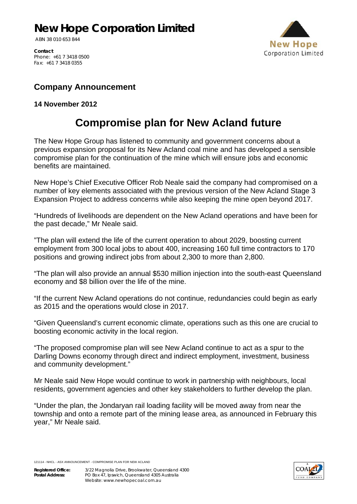## **New Hope Corporation Limited**

ABN 38 010 653 844



**Contact**  Phone: +61 7 3418 0500 Fax: +61 7 3418 0355

## **Company Announcement**

## **14 November 2012**

## **Compromise plan for New Acland future**

The New Hope Group has listened to community and government concerns about a previous expansion proposal for its New Acland coal mine and has developed a sensible compromise plan for the continuation of the mine which will ensure jobs and economic benefits are maintained.

New Hope's Chief Executive Officer Rob Neale said the company had compromised on a number of key elements associated with the previous version of the New Acland Stage 3 Expansion Project to address concerns while also keeping the mine open beyond 2017.

"Hundreds of livelihoods are dependent on the New Acland operations and have been for the past decade," Mr Neale said.

"The plan will extend the life of the current operation to about 2029, boosting current employment from 300 local jobs to about 400, increasing 160 full time contractors to 170 positions and growing indirect jobs from about 2,300 to more than 2,800.

"The plan will also provide an annual \$530 million injection into the south-east Queensland economy and \$8 billion over the life of the mine.

"If the current New Acland operations do not continue, redundancies could begin as early as 2015 and the operations would close in 2017.

"Given Queensland's current economic climate, operations such as this one are crucial to boosting economic activity in the local region.

"The proposed compromise plan will see New Acland continue to act as a spur to the Darling Downs economy through direct and indirect employment, investment, business and community development."

Mr Neale said New Hope would continue to work in partnership with neighbours, local residents, government agencies and other key stakeholders to further develop the plan.

"Under the plan, the Jondaryan rail loading facility will be moved away from near the township and onto a remote part of the mining lease area, as announced in February this year," Mr Neale said.

121114 - NHCL - ASX ANNOUNCEMENT - COMPROMISE PLAN FOR NEW ACLAND